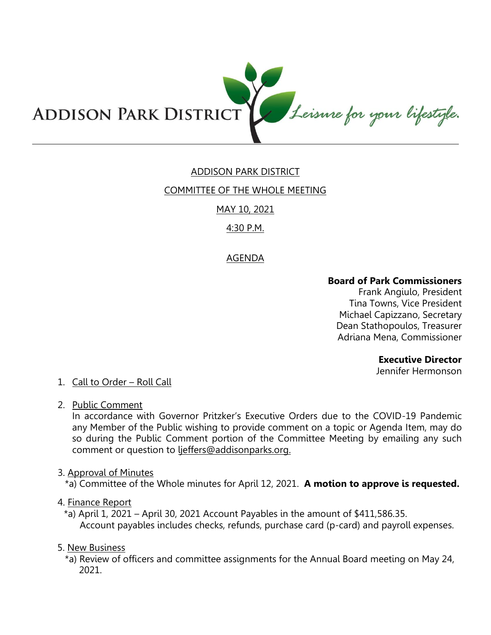

# ADDISON PARK DISTRICT

### COMMITTEE OF THE WHOLE MEETING

### MAY 10, 2021

# 4:30 P.M.

# AGENDA

### **Board of Park Commissioners**

Frank Angiulo, President Tina Towns, Vice President Michael Capizzano, Secretary Dean Stathopoulos, Treasurer Adriana Mena, Commissioner

#### **Executive Director**

Jennifer Hermonson

### 1. Call to Order – Roll Call

2. Public Comment

In accordance with Governor Pritzker's Executive Orders due to the COVID-19 Pandemic any Member of the Public wishing to provide comment on a topic or Agenda Item, may do so during the Public Comment portion of the Committee Meeting by emailing any such comment or question to ljeffers@addisonparks.org.

#### 3. Approval of Minutes

\*a) Committee of the Whole minutes for April 12, 2021. **A motion to approve is requested.** 

### 4. Finance Report

\*a) April 1, 2021 – April 30, 2021 Account Payables in the amount of  $$411,586.35$ . Account payables includes checks, refunds, purchase card (p-card) and payroll expenses.

### 5. New Business

\*a) Review of officers and committee assignments for the Annual Board meeting on May 24, 2021.